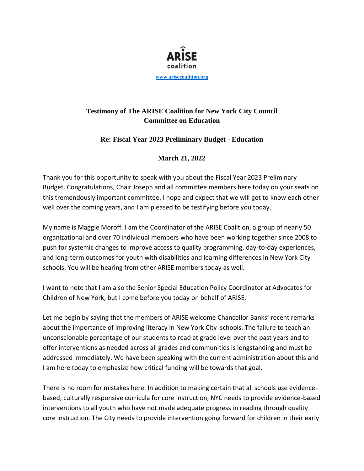

## **Testimony of The ARISE Coalition for New York City Council Committee on Education**

## **Re: Fiscal Year 2023 Preliminary Budget - Education**

## **March 21, 2022**

Thank you for this opportunity to speak with you about the Fiscal Year 2023 Preliminary Budget. Congratulations, Chair Joseph and all committee members here today on your seats on this tremendously important committee. I hope and expect that we will get to know each other well over the coming years, and I am pleased to be testifying before you today.

My name is Maggie Moroff. I am the Coordinator of the ARISE Coalition, a group of nearly 50 organizational and over 70 individual members who have been working together since 2008 to push for systemic changes to improve access to quality programming, day-to-day experiences, and long-term outcomes for youth with disabilities and learning differences in New York City schools. You will be hearing from other ARISE members today as well.

I want to note that I am also the Senior Special Education Policy Coordinator at Advocates for Children of New York, but I come before you today on behalf of ARISE.

Let me begin by saying that the members of ARISE welcome Chancellor Banks' recent remarks about the importance of improving literacy in New York City schools. The failure to teach an unconscionable percentage of our students to read at grade level over the past years and to offer interventions as needed across all grades and communities is longstanding and must be addressed immediately. We have been speaking with the current administration about this and I am here today to emphasize how critical funding will be towards that goal.

There is no room for mistakes here. In addition to making certain that all schools use evidencebased, culturally responsive curricula for core instruction, NYC needs to provide evidence-based interventions to all youth who have not made adequate progress in reading through quality core instruction. The City needs to provide intervention going forward for children in their early